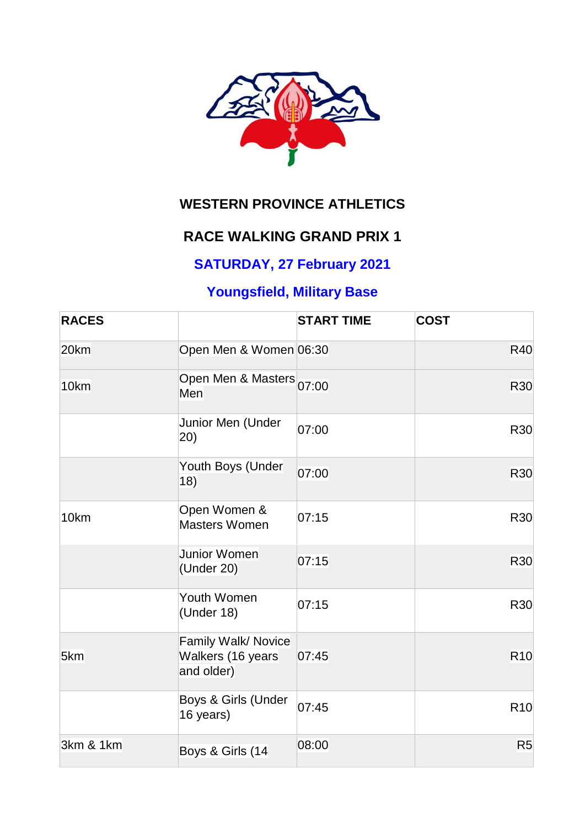

# **WESTERN PROVINCE ATHLETICS**

### **RACE WALKING GRAND PRIX 1**

## **SATURDAY, 27 February 2021**

## **Youngsfield, Military Base**

| <b>RACES</b> |                                                        | <b>START TIME</b> | <b>COST</b>    |
|--------------|--------------------------------------------------------|-------------------|----------------|
| 20km         | Open Men & Women 06:30                                 |                   | <b>R40</b>     |
| 10km         | Open Men & Masters 07:00<br>Men                        |                   | R30            |
|              | Junior Men (Under<br>(20)                              | 07:00             | R30            |
|              | Youth Boys (Under<br>18)                               | 07:00             | <b>R30</b>     |
| 10km         | Open Women &<br><b>Masters Women</b>                   | 07:15             | R30            |
|              | Junior Women<br>(Under 20)                             | 07:15             | <b>R30</b>     |
|              | Youth Women<br>(Under 18)                              | 07:15             | <b>R30</b>     |
| 5km          | Family Walk/ Novice<br>Walkers (16 years<br>and older) | 07:45             | <b>R10</b>     |
|              | Boys & Girls (Under<br>16 years)                       | 07:45             | <b>R10</b>     |
| 3km & 1km    | Boys & Girls (14                                       | 08:00             | R <sub>5</sub> |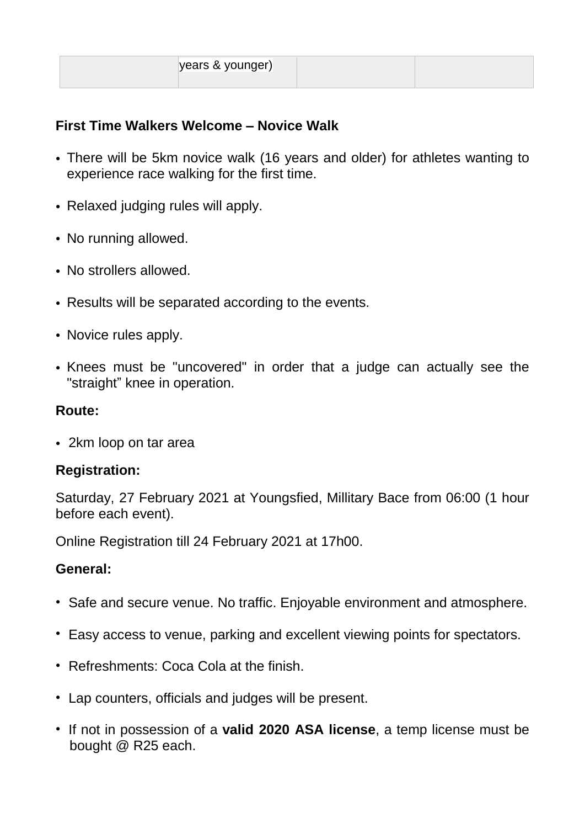|--|

### **First Time Walkers Welcome – Novice Walk**

- There will be 5km novice walk (16 years and older) for athletes wanting to experience race walking for the first time.
- Relaxed judging rules will apply.
- No running allowed.
- No strollers allowed.
- Results will be separated according to the events.
- Novice rules apply.
- Knees must be "uncovered" in order that a judge can actually see the "straight" knee in operation.

#### **Route:**

• 2km loop on tar area

#### **Registration:**

Saturday, 27 February 2021 at Youngsfied, Millitary Bace from 06:00 (1 hour before each event).

Online Registration till 24 February 2021 at 17h00.

#### **General:**

- Safe and secure venue. No traffic. Enjoyable environment and atmosphere.
- Easy access to venue, parking and excellent viewing points for spectators.
- Refreshments: Coca Cola at the finish.
- Lap counters, officials and judges will be present.
- If not in possession of a **valid 2020 ASA license**, a temp license must be bought @ R25 each.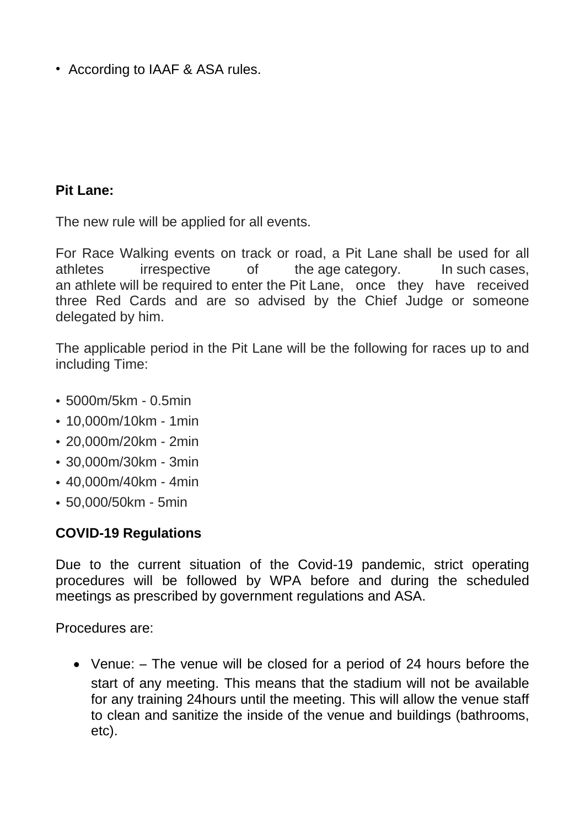• According to IAAF & ASA rules.

#### **Pit Lane:**

The new rule will be applied for all events.

For Race Walking events on track or road, a Pit Lane shall be used for all athletes irrespective of the age category. In such cases, an athlete will be required to enter the Pit Lane, once they have received three Red Cards and are so advised by the Chief Judge or someone delegated by him.

The applicable period in the Pit Lane will be the following for races up to and including Time:

- 5000m/5km 0.5min
- 10,000m/10km 1min
- 20,000m/20km 2min
- 30,000m/30km 3min
- 40,000m/40km 4min
- 50,000/50km 5min

#### **COVID-19 Regulations**

Due to the current situation of the Covid-19 pandemic, strict operating procedures will be followed by WPA before and during the scheduled meetings as prescribed by government regulations and ASA.

Procedures are:

 Venue: – The venue will be closed for a period of 24 hours before the start of any meeting. This means that the stadium will not be available for any training 24hours until the meeting. This will allow the venue staff to clean and sanitize the inside of the venue and buildings (bathrooms, etc).